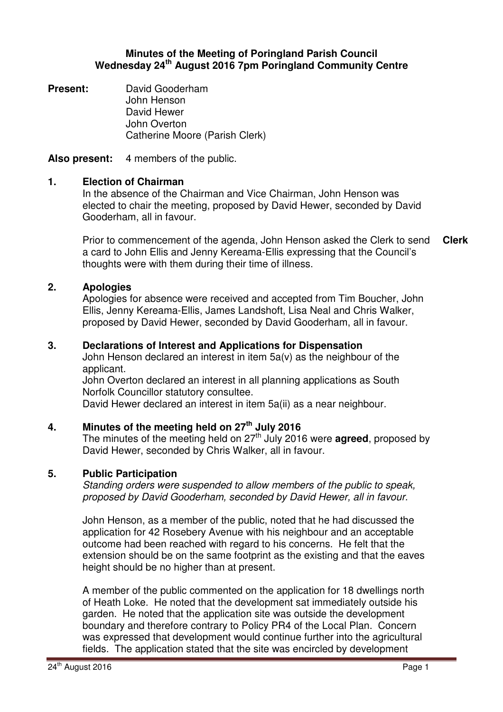## **Minutes of the Meeting of Poringland Parish Council Wednesday 24th August 2016 7pm Poringland Community Centre**

**Present:** David Gooderham John Henson David Hewer John Overton Catherine Moore (Parish Clerk)

**Also present:** 4 members of the public.

# **1. Election of Chairman**

In the absence of the Chairman and Vice Chairman, John Henson was elected to chair the meeting, proposed by David Hewer, seconded by David Gooderham, all in favour.

Prior to commencement of the agenda, John Henson asked the Clerk to send a card to John Ellis and Jenny Kereama-Ellis expressing that the Council's thoughts were with them during their time of illness. **Clerk**

## **2. Apologies**

Apologies for absence were received and accepted from Tim Boucher, John Ellis, Jenny Kereama-Ellis, James Landshoft, Lisa Neal and Chris Walker, proposed by David Hewer, seconded by David Gooderham, all in favour.

## **3. Declarations of Interest and Applications for Dispensation**

John Henson declared an interest in item 5a(v) as the neighbour of the applicant.

John Overton declared an interest in all planning applications as South Norfolk Councillor statutory consultee.

David Hewer declared an interest in item 5a(ii) as a near neighbour.

# **4. Minutes of the meeting held on 27 th July 2016**

The minutes of the meeting held on  $27<sup>th</sup>$  July 2016 were **agreed**, proposed by David Hewer, seconded by Chris Walker, all in favour.

### **5. Public Participation**

Standing orders were suspended to allow members of the public to speak, proposed by David Gooderham, seconded by David Hewer, all in favour.

John Henson, as a member of the public, noted that he had discussed the application for 42 Rosebery Avenue with his neighbour and an acceptable outcome had been reached with regard to his concerns. He felt that the extension should be on the same footprint as the existing and that the eaves height should be no higher than at present.

A member of the public commented on the application for 18 dwellings north of Heath Loke. He noted that the development sat immediately outside his garden. He noted that the application site was outside the development boundary and therefore contrary to Policy PR4 of the Local Plan. Concern was expressed that development would continue further into the agricultural fields. The application stated that the site was encircled by development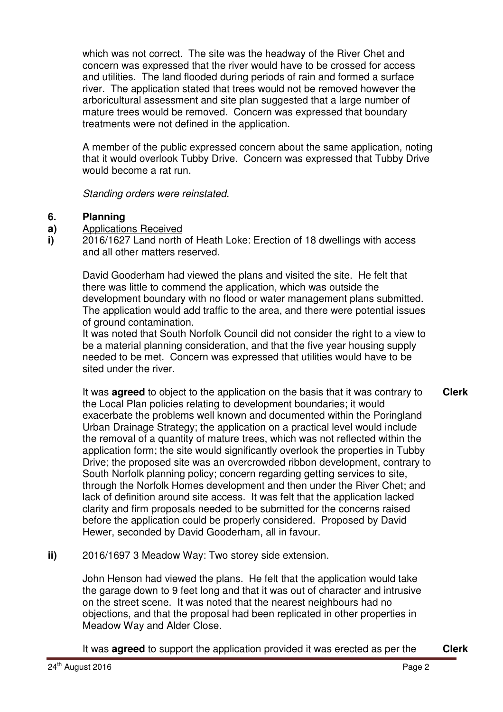which was not correct. The site was the headway of the River Chet and concern was expressed that the river would have to be crossed for access and utilities. The land flooded during periods of rain and formed a surface river. The application stated that trees would not be removed however the arboricultural assessment and site plan suggested that a large number of mature trees would be removed. Concern was expressed that boundary treatments were not defined in the application.

A member of the public expressed concern about the same application, noting that it would overlook Tubby Drive. Concern was expressed that Tubby Drive would become a rat run.

Standing orders were reinstated.

### **6. Planning**

- **a)**  Applications Received
- **i)**  2016/1627 Land north of Heath Loke: Erection of 18 dwellings with access and all other matters reserved.

David Gooderham had viewed the plans and visited the site. He felt that there was little to commend the application, which was outside the development boundary with no flood or water management plans submitted. The application would add traffic to the area, and there were potential issues of ground contamination.

It was noted that South Norfolk Council did not consider the right to a view to be a material planning consideration, and that the five year housing supply needed to be met. Concern was expressed that utilities would have to be sited under the river.

It was **agreed** to object to the application on the basis that it was contrary to the Local Plan policies relating to development boundaries; it would exacerbate the problems well known and documented within the Poringland Urban Drainage Strategy; the application on a practical level would include the removal of a quantity of mature trees, which was not reflected within the application form; the site would significantly overlook the properties in Tubby Drive; the proposed site was an overcrowded ribbon development, contrary to South Norfolk planning policy; concern regarding getting services to site, through the Norfolk Homes development and then under the River Chet; and lack of definition around site access. It was felt that the application lacked clarity and firm proposals needed to be submitted for the concerns raised before the application could be properly considered. Proposed by David Hewer, seconded by David Gooderham, all in favour. **Clerk**

**ii)** 2016/1697 3 Meadow Way: Two storey side extension.

John Henson had viewed the plans. He felt that the application would take the garage down to 9 feet long and that it was out of character and intrusive on the street scene. It was noted that the nearest neighbours had no objections, and that the proposal had been replicated in other properties in Meadow Way and Alder Close.

It was **agreed** to support the application provided it was erected as per the **Clerk**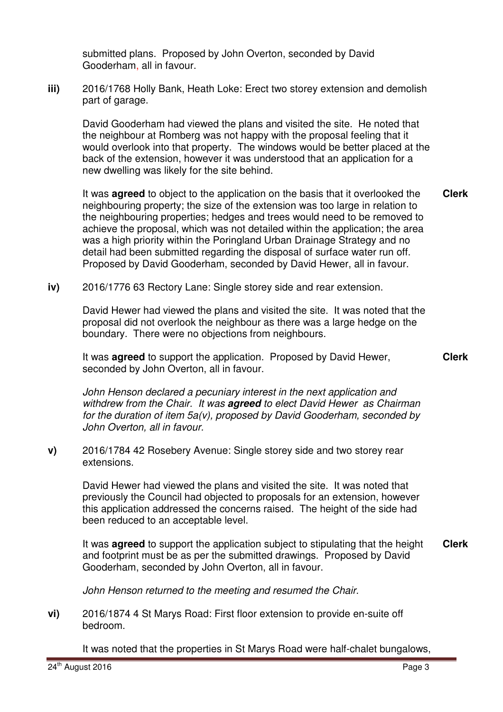submitted plans. Proposed by John Overton, seconded by David Gooderham, all in favour.

**iii)** 2016/1768 Holly Bank, Heath Loke: Erect two storey extension and demolish part of garage.

David Gooderham had viewed the plans and visited the site. He noted that the neighbour at Romberg was not happy with the proposal feeling that it would overlook into that property. The windows would be better placed at the back of the extension, however it was understood that an application for a new dwelling was likely for the site behind.

It was **agreed** to object to the application on the basis that it overlooked the neighbouring property; the size of the extension was too large in relation to the neighbouring properties; hedges and trees would need to be removed to achieve the proposal, which was not detailed within the application; the area was a high priority within the Poringland Urban Drainage Strategy and no detail had been submitted regarding the disposal of surface water run off. Proposed by David Gooderham, seconded by David Hewer, all in favour. **Clerk**

**iv)** 2016/1776 63 Rectory Lane: Single storey side and rear extension.

David Hewer had viewed the plans and visited the site. It was noted that the proposal did not overlook the neighbour as there was a large hedge on the boundary. There were no objections from neighbours.

It was **agreed** to support the application. Proposed by David Hewer, seconded by John Overton, all in favour.

John Henson declared a pecuniary interest in the next application and withdrew from the Chair. It was **agreed** to elect David Hewer as Chairman for the duration of item 5a(v), proposed by David Gooderham, seconded by John Overton, all in favour.

**v)** 2016/1784 42 Rosebery Avenue: Single storey side and two storey rear extensions.

David Hewer had viewed the plans and visited the site. It was noted that previously the Council had objected to proposals for an extension, however this application addressed the concerns raised. The height of the side had been reduced to an acceptable level.

It was **agreed** to support the application subject to stipulating that the height and footprint must be as per the submitted drawings. Proposed by David Gooderham, seconded by John Overton, all in favour. **Clerk**

John Henson returned to the meeting and resumed the Chair.

**vi)** 2016/1874 4 St Marys Road: First floor extension to provide en-suite off bedroom.

It was noted that the properties in St Marys Road were half-chalet bungalows,

**Clerk**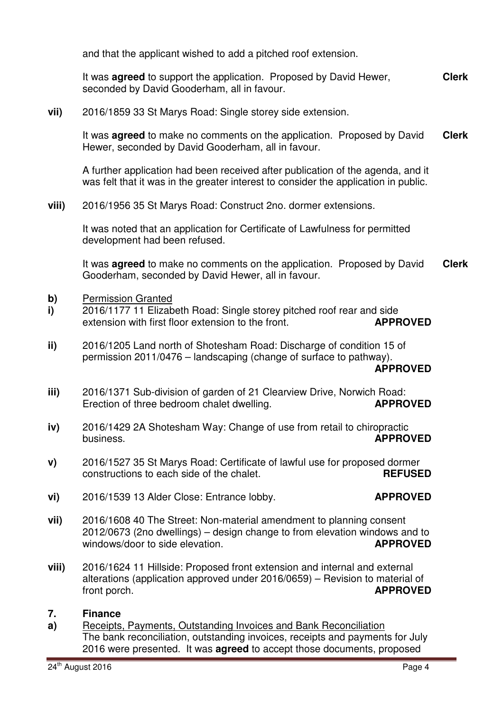and that the applicant wished to add a pitched roof extension.

It was **agreed** to support the application. Proposed by David Hewer, seconded by David Gooderham, all in favour. **Clerk**

**vii)** 2016/1859 33 St Marys Road: Single storey side extension.

It was **agreed** to make no comments on the application. Proposed by David Hewer, seconded by David Gooderham, all in favour. **Clerk**

A further application had been received after publication of the agenda, and it was felt that it was in the greater interest to consider the application in public.

**viii)** 2016/1956 35 St Marys Road: Construct 2no. dormer extensions.

It was noted that an application for Certificate of Lawfulness for permitted development had been refused.

It was **agreed** to make no comments on the application. Proposed by David Gooderham, seconded by David Hewer, all in favour. **Clerk**

- **b)** Permission Granted
- **i)**  2016/1177 11 Elizabeth Road: Single storey pitched roof rear and side extension with first floor extension to the front. **APPROVED**
- **ii)**  2016/1205 Land north of Shotesham Road: Discharge of condition 15 of permission 2011/0476 – landscaping (change of surface to pathway). **APPROVED**
- **iii)**  2016/1371 Sub-division of garden of 21 Clearview Drive, Norwich Road: Erection of three bedroom chalet dwelling. **APPROVED**
- **iv)**  2016/1429 2A Shotesham Way: Change of use from retail to chiropractic business. **APPROVED**
- **v)**  2016/1527 35 St Marys Road: Certificate of lawful use for proposed dormer constructions to each side of the chalet. **REFUSED**
- **vi)**  2016/1539 13 Alder Close: Entrance lobby. **APPROVED**

- **vii)**  2016/1608 40 The Street: Non-material amendment to planning consent 2012/0673 (2no dwellings) – design change to from elevation windows and to windows/door to side elevation.
- **viii)**  2016/1624 11 Hillside: Proposed front extension and internal and external alterations (application approved under 2016/0659) – Revision to material of front porch. **APPROVED**

### **7. Finance**

**a)**  Receipts, Payments, Outstanding Invoices and Bank Reconciliation The bank reconciliation, outstanding invoices, receipts and payments for July 2016 were presented. It was **agreed** to accept those documents, proposed